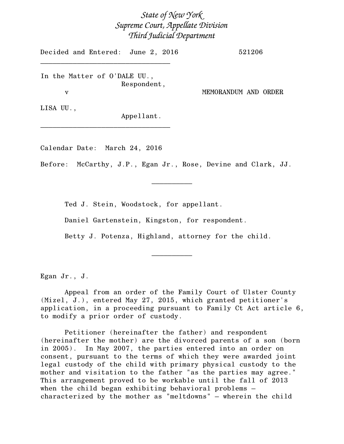## *State of New York Supreme Court, Appellate Division Third Judicial Department*

Decided and Entered: June 2, 2016 521206 \_\_\_\_\_\_\_\_\_\_\_\_\_\_\_\_\_\_\_\_\_\_\_\_\_\_\_\_\_\_\_\_

In the Matter of O'DALE UU., Respondent,

v MEMORANDUM AND ORDER

LISA UU.,

Appellant.

Calendar Date: March 24, 2016

\_\_\_\_\_\_\_\_\_\_\_\_\_\_\_\_\_\_\_\_\_\_\_\_\_\_\_\_\_\_\_\_

Before: McCarthy, J.P., Egan Jr., Rose, Devine and Clark, JJ.

 $\frac{1}{2}$ 

Ted J. Stein, Woodstock, for appellant.

Daniel Gartenstein, Kingston, for respondent.

Betty J. Potenza, Highland, attorney for the child.

 $\frac{1}{2}$ 

Egan Jr., J.

Appeal from an order of the Family Court of Ulster County (Mizel, J.), entered May 27, 2015, which granted petitioner's application, in a proceeding pursuant to Family Ct Act article 6, to modify a prior order of custody.

Petitioner (hereinafter the father) and respondent (hereinafter the mother) are the divorced parents of a son (born in 2005). In May 2007, the parties entered into an order on consent, pursuant to the terms of which they were awarded joint legal custody of the child with primary physical custody to the mother and visitation to the father "as the parties may agree." This arrangement proved to be workable until the fall of 2013 when the child began exhibiting behavioral problems – characterized by the mother as "meltdowns" – wherein the child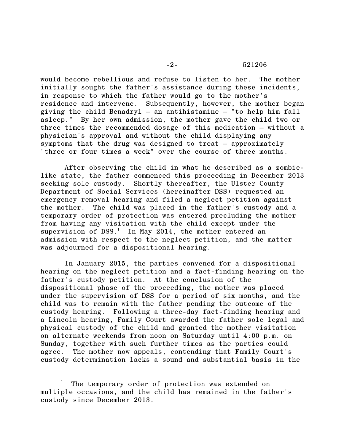would become rebellious and refuse to listen to her. The mother initially sought the father's assistance during these incidents, in response to which the father would go to the mother's residence and intervene. Subsequently, however, the mother began giving the child Benadryl – an antihistamine – "to help him fall asleep." By her own admission, the mother gave the child two or three times the recommended dosage of this medication – without a physician's approval and without the child displaying any symptoms that the drug was designed to treat – approximately "three or four times a week" over the course of three months.

After observing the child in what he described as a zombielike state, the father commenced this proceeding in December 2013 seeking sole custody. Shortly thereafter, the Ulster County Department of Social Services (hereinafter DSS) requested an emergency removal hearing and filed a neglect petition against the mother. The child was placed in the father's custody and a temporary order of protection was entered precluding the mother from having any visitation with the child except under the supervision of  $DSS<sup>1</sup>$ . In May 2014, the mother entered an admission with respect to the neglect petition, and the matter was adjourned for a dispositional hearing.

In January 2015, the parties convened for a dispositional hearing on the neglect petition and a fact-finding hearing on the father's custody petition. At the conclusion of the dispositional phase of the proceeding, the mother was placed under the supervision of DSS for a period of six months, and the child was to remain with the father pending the outcome of the custody hearing. Following a three-day fact-finding hearing and a Lincoln hearing, Family Court awarded the father sole legal and physical custody of the child and granted the mother visitation on alternate weekends from noon on Saturday until 4:00 p.m. on Sunday, together with such further times as the parties could agree. The mother now appeals, contending that Family Court's custody determination lacks a sound and substantial basis in the

<sup>&</sup>lt;sup>1</sup> The temporary order of protection was extended on multiple occasions, and the child has remained in the father's custody since December 2013.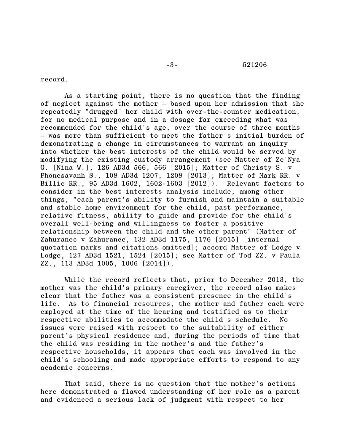## -3- 521206

record.

As a starting point, there is no question that the finding of neglect against the mother – based upon her admission that she repeatedly "drugged" her child with over-the-counter medication, for no medical purpose and in a dosage far exceeding what was recommended for the child's age, over the course of three months – was more than sufficient to meet the father's initial burden of demonstrating a change in circumstances to warrant an inquiry into whether the best interests of the child would be served by modifying the existing custody arrangement (see Matter of Ze'Nya G. [Nina W.], 126 AD3d 566, 566 [2015]; Matter of Christy S. v Phonesavanh S., 108 AD3d 1207, 1208 [2013]; Matter of Mark RR. v Billie RR., 95 AD3d 1602, 1602-1603 [2012]). Relevant factors to consider in the best interests analysis include, among other things, "each parent's ability to furnish and maintain a suitable and stable home environment for the child, past performance, relative fitness, ability to guide and provide for the child's overall well-being and willingness to foster a positive relationship between the child and the other parent" (Matter of Zahuranec v Zahuranec, 132 AD3d 1175, 1176 [2015] [internal quotation marks and citations omitted]; accord Matter of Lodge v Lodge, 127 AD3d 1521, 1524 [2015]; see Matter of Tod ZZ. v Paula ZZ., 113 AD3d 1005, 1006 [2014]).

While the record reflects that, prior to December 2013, the mother was the child's primary caregiver, the record also makes clear that the father was a consistent presence in the child's life. As to financial resources, the mother and father each were employed at the time of the hearing and testified as to their respective abilities to accommodate the child's schedule. No issues were raised with respect to the suitability of either parent's physical residence and, during the periods of time that the child was residing in the mother's and the father's respective households, it appears that each was involved in the child's schooling and made appropriate efforts to respond to any academic concerns.

That said, there is no question that the mother's actions here demonstrated a flawed understanding of her role as a parent and evidenced a serious lack of judgment with respect to her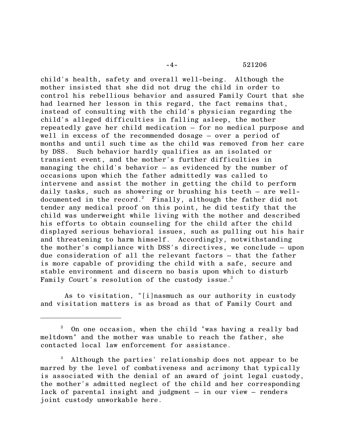-4- 521206

child's health, safety and overall well-being. Although the mother insisted that she did not drug the child in order to control his rebellious behavior and assured Family Court that she had learned her lesson in this regard, the fact remains that, instead of consulting with the child's physician regarding the child's alleged difficulties in falling asleep, the mother repeatedly gave her child medication – for no medical purpose and well in excess of the recommended dosage – over a period of months and until such time as the child was removed from her care by DSS. Such behavior hardly qualifies as an isolated or transient event, and the mother's further difficulties in managing the child's behavior – as evidenced by the number of occasions upon which the father admittedly was called to intervene and assist the mother in getting the child to perform daily tasks, such as showering or brushing his teeth – are welldocumented in the record.<sup>2</sup> Finally, although the father did not tender any medical proof on this point, he did testify that the child was underweight while living with the mother and described his efforts to obtain counseling for the child after the child displayed serious behavioral issues, such as pulling out his hair and threatening to harm himself. Accordingly, notwithstanding the mother's compliance with DSS's directives, we conclude – upon due consideration of all the relevant factors – that the father is more capable of providing the child with a safe, secure and stable environment and discern no basis upon which to disturb Family Court's resolution of the custody issue.<sup>3</sup>

As to visitation, "[i]nasmuch as our authority in custody and visitation matters is as broad as that of Family Court and

 $2$  On one occasion, when the child "was having a really bad meltdown" and the mother was unable to reach the father, she contacted local law enforcement for assistance.

<sup>3</sup> Although the parties' relationship does not appear to be marred by the level of combativeness and acrimony that typically is associated with the denial of an award of joint legal custody, the mother's admitted neglect of the child and her corresponding lack of parental insight and judgment – in our view – renders joint custody unworkable here.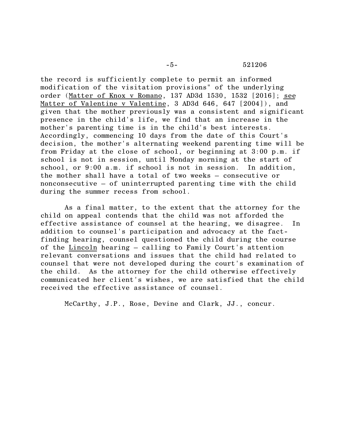-5- 521206

the record is sufficiently complete to permit an informed modification of the visitation provisions" of the underlying order (Matter of Knox v Romano, 137 AD3d 1530, 1532 [2016]; see Matter of Valentine v Valentine, 3 AD3d 646, 647 [2004]), and given that the mother previously was a consistent and significant presence in the child's life, we find that an increase in the mother's parenting time is in the child's best interests. Accordingly, commencing 10 days from the date of this Court's decision, the mother's alternating weekend parenting time will be from Friday at the close of school, or beginning at 3:00 p.m. if school is not in session, until Monday morning at the start of school, or 9:00 a.m. if school is not in session. In addition, the mother shall have a total of two weeks – consecutive or nonconsecutive – of uninterrupted parenting time with the child during the summer recess from school.

As a final matter, to the extent that the attorney for the child on appeal contends that the child was not afforded the effective assistance of counsel at the hearing, we disagree. In addition to counsel's participation and advocacy at the factfinding hearing, counsel questioned the child during the course of the Lincoln hearing – calling to Family Court's attention relevant conversations and issues that the child had related to counsel that were not developed during the court's examination of the child. As the attorney for the child otherwise effectively communicated her client's wishes, we are satisfied that the child received the effective assistance of counsel.

McCarthy, J.P., Rose, Devine and Clark, JJ., concur.